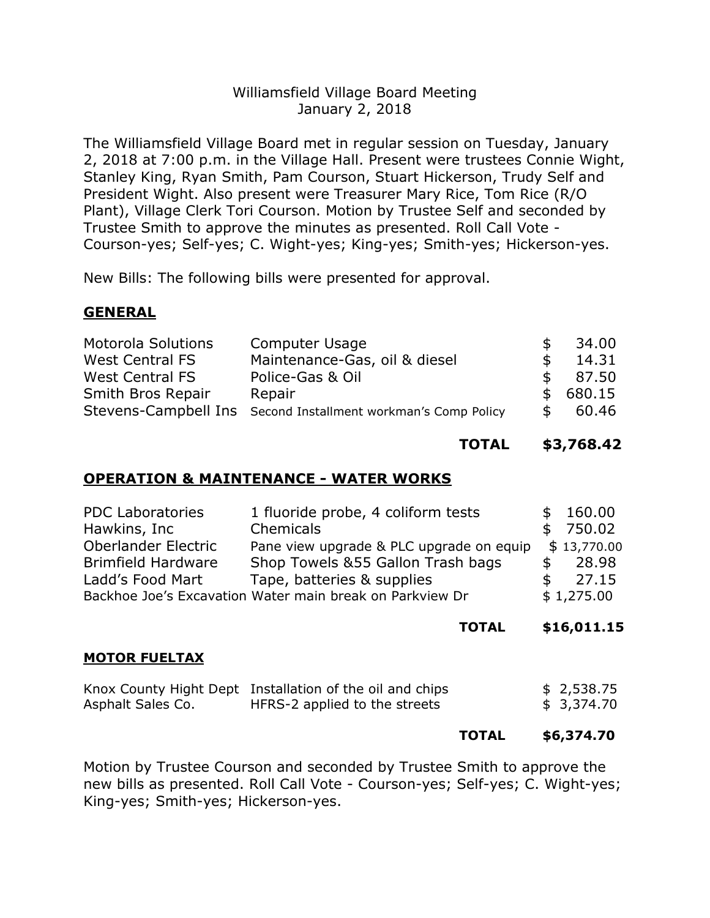## Williamsfield Village Board Meeting January 2, 2018

The Williamsfield Village Board met in regular session on Tuesday, January 2, 2018 at 7:00 p.m. in the Village Hall. Present were trustees Connie Wight, Stanley King, Ryan Smith, Pam Courson, Stuart Hickerson, Trudy Self and President Wight. Also present were Treasurer Mary Rice, Tom Rice (R/O Plant), Village Clerk Tori Courson. Motion by Trustee Self and seconded by Trustee Smith to approve the minutes as presented. Roll Call Vote - Courson-yes; Self-yes; C. Wight-yes; King-yes; Smith-yes; Hickerson-yes.

New Bills: The following bills were presented for approval.

### **GENERAL**

| <b>Motorola Solutions</b> | Computer Usage                                                | S.            | 34.00    |
|---------------------------|---------------------------------------------------------------|---------------|----------|
| <b>West Central FS</b>    | Maintenance-Gas, oil & diesel                                 | -SG           | 14.31    |
| West Central FS           | Police-Gas & Oil                                              | $\mathcal{F}$ | 87.50    |
| Smith Bros Repair         | Repair                                                        |               | \$680.15 |
|                           | Stevens-Campbell Ins Second Installment workman's Comp Policy | S.            | 60.46    |

**TOTAL \$3,768.42**

### **OPERATION & MAINTENANCE - WATER WORKS**

| <b>PDC Laboratories</b>    | 1 fluoride probe, 4 coliform tests                       | \$160.00    |
|----------------------------|----------------------------------------------------------|-------------|
| Hawkins, Inc               | Chemicals                                                | \$750.02    |
| <b>Oberlander Electric</b> | Pane view upgrade & PLC upgrade on equip                 | \$13,770.00 |
| <b>Brimfield Hardware</b>  | Shop Towels & 55 Gallon Trash bags                       | 28.98       |
| Ladd's Food Mart           | Tape, batteries & supplies                               | 27.15       |
|                            | Backhoe Joe's Excavation Water main break on Parkview Dr | \$1,275.00  |

**TOTAL \$16,011.15**

#### **MOTOR FUELTAX**

|                   | Knox County Hight Dept Installation of the oil and chips | \$ 2,538.75 |
|-------------------|----------------------------------------------------------|-------------|
| Asphalt Sales Co. | HFRS-2 applied to the streets                            | \$ 3,374.70 |

#### **TOTAL \$6,374.70**

Motion by Trustee Courson and seconded by Trustee Smith to approve the new bills as presented. Roll Call Vote - Courson-yes; Self-yes; C. Wight-yes; King-yes; Smith-yes; Hickerson-yes.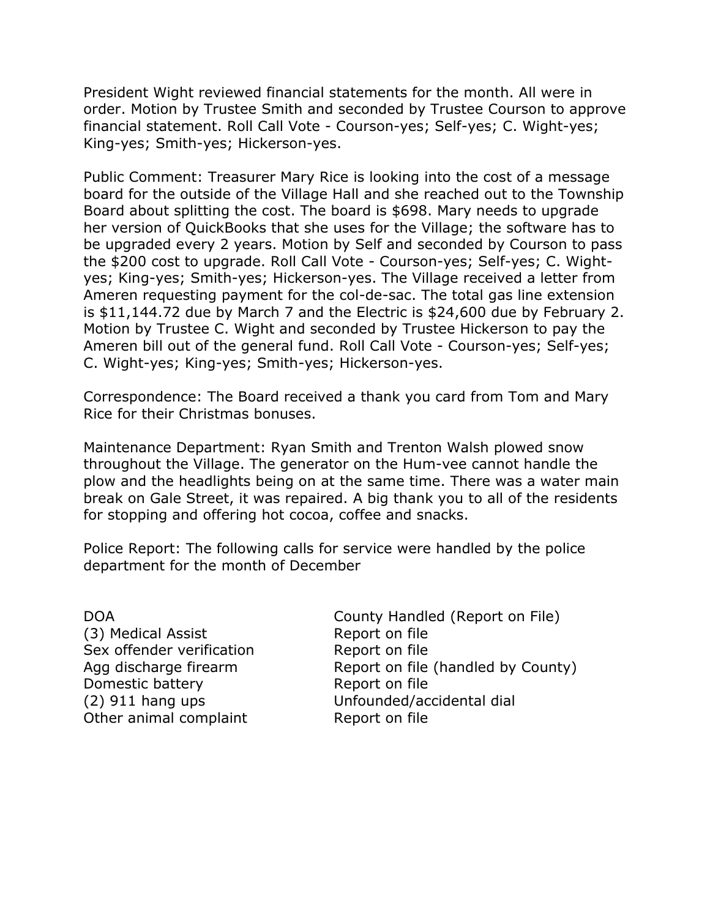President Wight reviewed financial statements for the month. All were in order. Motion by Trustee Smith and seconded by Trustee Courson to approve financial statement. Roll Call Vote - Courson-yes; Self-yes; C. Wight-yes; King-yes; Smith-yes; Hickerson-yes.

Public Comment: Treasurer Mary Rice is looking into the cost of a message board for the outside of the Village Hall and she reached out to the Township Board about splitting the cost. The board is \$698. Mary needs to upgrade her version of QuickBooks that she uses for the Village; the software has to be upgraded every 2 years. Motion by Self and seconded by Courson to pass the \$200 cost to upgrade. Roll Call Vote - Courson-yes; Self-yes; C. Wightyes; King-yes; Smith-yes; Hickerson-yes. The Village received a letter from Ameren requesting payment for the col-de-sac. The total gas line extension is \$11,144.72 due by March 7 and the Electric is \$24,600 due by February 2. Motion by Trustee C. Wight and seconded by Trustee Hickerson to pay the Ameren bill out of the general fund. Roll Call Vote - Courson-yes; Self-yes; C. Wight-yes; King-yes; Smith-yes; Hickerson-yes.

Correspondence: The Board received a thank you card from Tom and Mary Rice for their Christmas bonuses.

Maintenance Department: Ryan Smith and Trenton Walsh plowed snow throughout the Village. The generator on the Hum-vee cannot handle the plow and the headlights being on at the same time. There was a water main break on Gale Street, it was repaired. A big thank you to all of the residents for stopping and offering hot cocoa, coffee and snacks.

Police Report: The following calls for service were handled by the police department for the month of December

(3) Medical Assist Report on file Sex offender verification Report on file Domestic battery **Report on file** Other animal complaint Report on file

DOA County Handled (Report on File) Agg discharge firearm Report on file (handled by County) (2) 911 hang ups Unfounded/accidental dial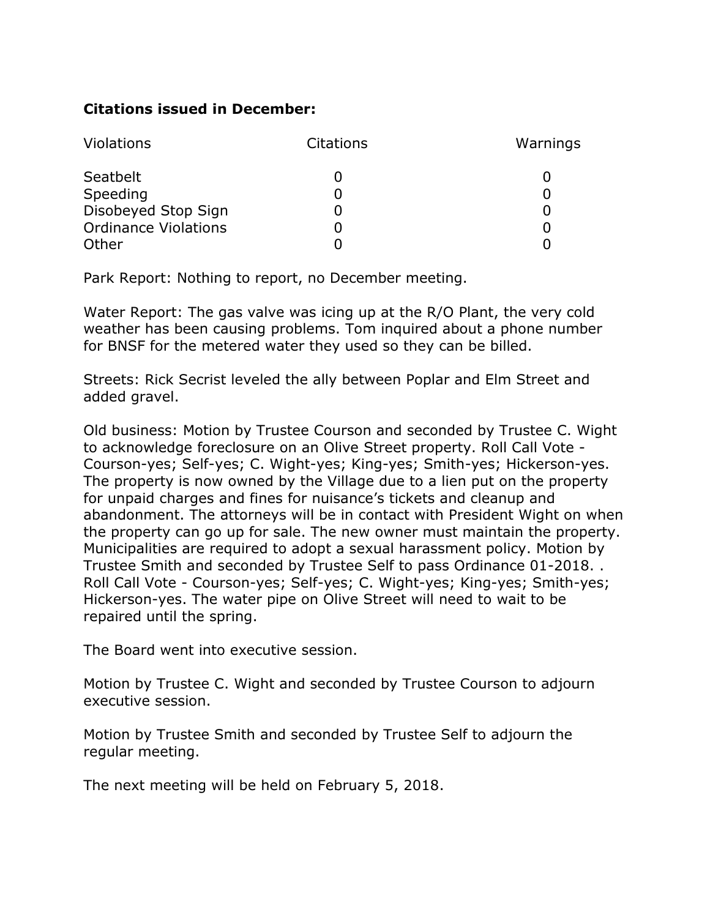# **Citations issued in December:**

| <b>Violations</b>           | <b>Citations</b> | Warnings |
|-----------------------------|------------------|----------|
| Seatbelt                    |                  |          |
| Speeding                    |                  |          |
| Disobeyed Stop Sign         |                  |          |
| <b>Ordinance Violations</b> |                  |          |
| Other                       |                  |          |

Park Report: Nothing to report, no December meeting.

Water Report: The gas valve was icing up at the R/O Plant, the very cold weather has been causing problems. Tom inquired about a phone number for BNSF for the metered water they used so they can be billed.

Streets: Rick Secrist leveled the ally between Poplar and Elm Street and added gravel.

Old business: Motion by Trustee Courson and seconded by Trustee C. Wight to acknowledge foreclosure on an Olive Street property. Roll Call Vote - Courson-yes; Self-yes; C. Wight-yes; King-yes; Smith-yes; Hickerson-yes. The property is now owned by the Village due to a lien put on the property for unpaid charges and fines for nuisance's tickets and cleanup and abandonment. The attorneys will be in contact with President Wight on when the property can go up for sale. The new owner must maintain the property. Municipalities are required to adopt a sexual harassment policy. Motion by Trustee Smith and seconded by Trustee Self to pass Ordinance 01-2018. . Roll Call Vote - Courson-yes; Self-yes; C. Wight-yes; King-yes; Smith-yes; Hickerson-yes. The water pipe on Olive Street will need to wait to be repaired until the spring.

The Board went into executive session.

Motion by Trustee C. Wight and seconded by Trustee Courson to adjourn executive session.

Motion by Trustee Smith and seconded by Trustee Self to adjourn the regular meeting.

The next meeting will be held on February 5, 2018.